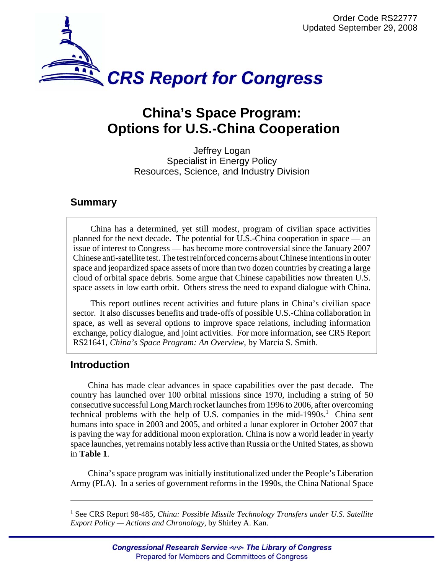

# **China's Space Program: Options for U.S.-China Cooperation**

Jeffrey Logan Specialist in Energy Policy Resources, Science, and Industry Division

## **Summary**

China has a determined, yet still modest, program of civilian space activities planned for the next decade. The potential for U.S.-China cooperation in space — an issue of interest to Congress — has become more controversial since the January 2007 Chinese anti-satellite test. The test reinforced concerns about Chinese intentions in outer space and jeopardized space assets of more than two dozen countries by creating a large cloud of orbital space debris. Some argue that Chinese capabilities now threaten U.S. space assets in low earth orbit. Others stress the need to expand dialogue with China.

This report outlines recent activities and future plans in China's civilian space sector. It also discusses benefits and trade-offs of possible U.S.-China collaboration in space, as well as several options to improve space relations, including information exchange, policy dialogue, and joint activities. For more information, see CRS Report RS21641, *China's Space Program: An Overview*, by Marcia S. Smith.

## **Introduction**

China has made clear advances in space capabilities over the past decade. The country has launched over 100 orbital missions since 1970, including a string of 50 consecutive successful Long March rocket launches from 1996 to 2006, after overcoming technical problems with the help of U.S. companies in the mid-1990s. $^1$  China sent humans into space in 2003 and 2005, and orbited a lunar explorer in October 2007 that is paving the way for additional moon exploration. China is now a world leader in yearly space launches, yet remains notably less active than Russia or the United States, as shown in **Table 1**.

China's space program was initially institutionalized under the People's Liberation Army (PLA). In a series of government reforms in the 1990s, the China National Space

<sup>&</sup>lt;sup>1</sup> See CRS Report 98-485, *China: Possible Missile Technology Transfers under U.S. Satellite Export Policy — Actions and Chronology*, by Shirley A. Kan.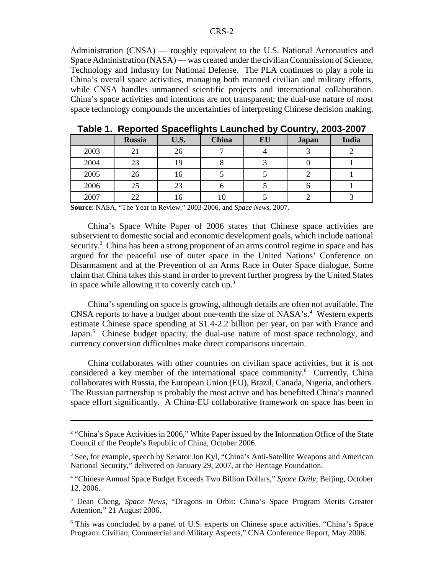Administration (CNSA) — roughly equivalent to the U.S. National Aeronautics and Space Administration (NASA) — was created under the civilian Commission of Science, Technology and Industry for National Defense. The PLA continues to play a role in China's overall space activities, managing both manned civilian and military efforts, while CNSA handles unmanned scientific projects and international collaboration. China's space activities and intentions are not transparent; the dual-use nature of most space technology compounds the uncertainties of interpreting Chinese decision making.

|      | <b>Russia</b> | U.S. | <b>China</b> | EU | <b>Japan</b> | India |
|------|---------------|------|--------------|----|--------------|-------|
| 2003 | 21            | 26   |              |    |              |       |
| 2004 | 23            | 19   |              |    |              |       |
| 2005 | 26            | 16   |              |    |              |       |
| 2006 | 25            | 23   |              |    |              |       |
| 2007 | 22            | 16   |              |    |              |       |

**Table 1. Reported Spaceflights Launched by Country, 2003-2007**

**Source**: NASA, "The Year in Review," 2003-2006, and *Space News*, 2007.

China's Space White Paper of 2006 states that Chinese space activities are subservient to domestic social and economic development goals, which include national security.<sup>2</sup> China has been a strong proponent of an arms control regime in space and has argued for the peaceful use of outer space in the United Nations' Conference on Disarmament and at the Prevention of an Arms Race in Outer Space dialogue. Some claim that China takes this stand in order to prevent further progress by the United States in space while allowing it to covertly catch up.<sup>3</sup>

China's spending on space is growing, although details are often not available. The CNSA reports to have a budget about one-tenth the size of NASA's.<sup>4</sup> Western experts estimate Chinese space spending at \$1.4-2.2 billion per year, on par with France and Japan.<sup>5</sup> Chinese budget opacity, the dual-use nature of most space technology, and currency conversion difficulties make direct comparisons uncertain.

China collaborates with other countries on civilian space activities, but it is not considered a key member of the international space community.<sup>6</sup> Currently, China collaborates with Russia, the European Union (EU), Brazil, Canada, Nigeria, and others. The Russian partnership is probably the most active and has benefitted China's manned space effort significantly. A China-EU collaborative framework on space has been in

<sup>&</sup>lt;sup>2</sup> "China's Space Activities in 2006," White Paper issued by the Information Office of the State Council of the People's Republic of China, October 2006.

<sup>&</sup>lt;sup>3</sup> See, for example, speech by Senator Jon Kyl, "China's Anti-Satellite Weapons and American National Security," delivered on January 29, 2007, at the Heritage Foundation.

<sup>&</sup>lt;sup>4</sup> "Chinese Annual Space Budget Exceeds Two Billion Dollars," Space Daily, Beijing, October 12, 2006.

<sup>5</sup> Dean Cheng, *Space News*, "Dragons in Orbit: China's Space Program Merits Greater Attention," 21 August 2006.

<sup>&</sup>lt;sup>6</sup> This was concluded by a panel of U.S. experts on Chinese space activities. "China's Space Program: Civilian, Commercial and Military Aspects," CNA Conference Report, May 2006.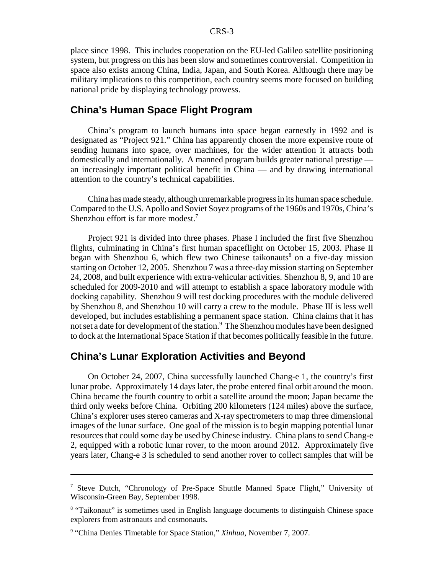place since 1998. This includes cooperation on the EU-led Galileo satellite positioning system, but progress on this has been slow and sometimes controversial. Competition in space also exists among China, India, Japan, and South Korea. Although there may be military implications to this competition, each country seems more focused on building national pride by displaying technology prowess.

#### **China's Human Space Flight Program**

China's program to launch humans into space began earnestly in 1992 and is designated as "Project 921." China has apparently chosen the more expensive route of sending humans into space, over machines, for the wider attention it attracts both domestically and internationally. A manned program builds greater national prestige an increasingly important political benefit in China — and by drawing international attention to the country's technical capabilities.

China has made steady, although unremarkable progress in its human space schedule. Compared to the U.S. Apollo and Soviet Soyez programs of the 1960s and 1970s, China's Shenzhou effort is far more modest.<sup>7</sup>

Project 921 is divided into three phases. Phase I included the first five Shenzhou flights, culminating in China's first human spaceflight on October 15, 2003. Phase II began with Shenzhou 6, which flew two Chinese taikonauts<sup>8</sup> on a five-day mission starting on October 12, 2005. Shenzhou 7 was a three-day mission starting on September 24, 2008, and built experience with extra-vehicular activities. Shenzhou 8, 9, and 10 are scheduled for 2009-2010 and will attempt to establish a space laboratory module with docking capability. Shenzhou 9 will test docking procedures with the module delivered by Shenzhou 8, and Shenzhou 10 will carry a crew to the module. Phase III is less well developed, but includes establishing a permanent space station. China claims that it has not set a date for development of the station.<sup>9</sup> The Shenzhou modules have been designed to dock at the International Space Station if that becomes politically feasible in the future.

## **China's Lunar Exploration Activities and Beyond**

On October 24, 2007, China successfully launched Chang-e 1, the country's first lunar probe. Approximately 14 days later, the probe entered final orbit around the moon. China became the fourth country to orbit a satellite around the moon; Japan became the third only weeks before China. Orbiting 200 kilometers (124 miles) above the surface, China's explorer uses stereo cameras and X-ray spectrometers to map three dimensional images of the lunar surface. One goal of the mission is to begin mapping potential lunar resources that could some day be used by Chinese industry. China plans to send Chang-e 2, equipped with a robotic lunar rover, to the moon around 2012. Approximately five years later, Chang-e 3 is scheduled to send another rover to collect samples that will be

<sup>&</sup>lt;sup>7</sup> Steve Dutch, "Chronology of Pre-Space Shuttle Manned Space Flight," University of Wisconsin-Green Bay, September 1998.

<sup>&</sup>lt;sup>8</sup> "Taikonaut" is sometimes used in English language documents to distinguish Chinese space explorers from astronauts and cosmonauts.

<sup>&</sup>lt;sup>9</sup> "China Denies Timetable for Space Station," *Xinhua*, November 7, 2007.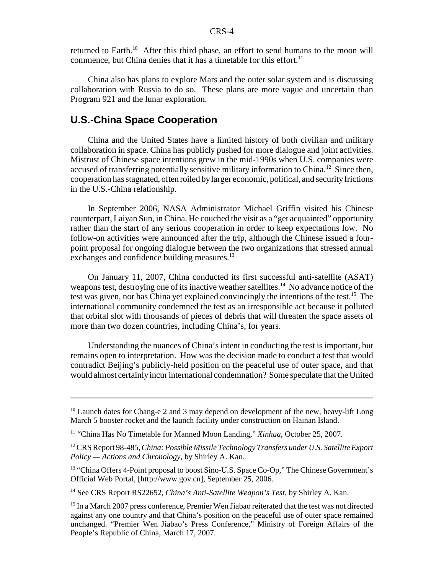returned to Earth.<sup>10</sup> After this third phase, an effort to send humans to the moon will commence, but China denies that it has a timetable for this effort.<sup>11</sup>

China also has plans to explore Mars and the outer solar system and is discussing collaboration with Russia to do so. These plans are more vague and uncertain than Program 921 and the lunar exploration.

### **U.S.-China Space Cooperation**

China and the United States have a limited history of both civilian and military collaboration in space. China has publicly pushed for more dialogue and joint activities. Mistrust of Chinese space intentions grew in the mid-1990s when U.S. companies were accused of transferring potentially sensitive military information to China.<sup>12</sup> Since then, cooperation has stagnated, often roiled by larger economic, political, and security frictions in the U.S.-China relationship.

In September 2006, NASA Administrator Michael Griffin visited his Chinese counterpart, Laiyan Sun, in China. He couched the visit as a "get acquainted" opportunity rather than the start of any serious cooperation in order to keep expectations low. No follow-on activities were announced after the trip, although the Chinese issued a fourpoint proposal for ongoing dialogue between the two organizations that stressed annual exchanges and confidence building measures.<sup>13</sup>

On January 11, 2007, China conducted its first successful anti-satellite (ASAT) weapons test, destroying one of its inactive weather satellites.<sup>14</sup> No advance notice of the test was given, nor has China yet explained convincingly the intentions of the test.<sup>15</sup> The international community condemned the test as an irresponsible act because it polluted that orbital slot with thousands of pieces of debris that will threaten the space assets of more than two dozen countries, including China's, for years.

Understanding the nuances of China's intent in conducting the test is important, but remains open to interpretation. How was the decision made to conduct a test that would contradict Beijing's publicly-held position on the peaceful use of outer space, and that would almost certainly incur international condemnation? Some speculate that the United

14 See CRS Report RS22652, *China's Anti-Satellite Weapon's Test*, by Shirley A. Kan.

 $10$  Launch dates for Chang-e 2 and 3 may depend on development of the new, heavy-lift Long March 5 booster rocket and the launch facility under construction on Hainan Island.

<sup>11 &</sup>quot;China Has No Timetable for Manned Moon Landing," *Xinhua*, October 25, 2007.

<sup>12</sup> CRS Report 98-485, *China: Possible Missile Technology Transfers under U.S. Satellite Export Policy — Actions and Chronology*, by Shirley A. Kan.

<sup>&</sup>lt;sup>13</sup> "China Offers 4-Point proposal to boost Sino-U.S. Space Co-Op," The Chinese Government's Official Web Portal, [http://www.gov.cn], September 25, 2006.

<sup>&</sup>lt;sup>15</sup> In a March 2007 press conference, Premier Wen Jiabao reiterated that the test was not directed against any one country and that China's position on the peaceful use of outer space remained unchanged. "Premier Wen Jiabao's Press Conference," Ministry of Foreign Affairs of the People's Republic of China, March 17, 2007.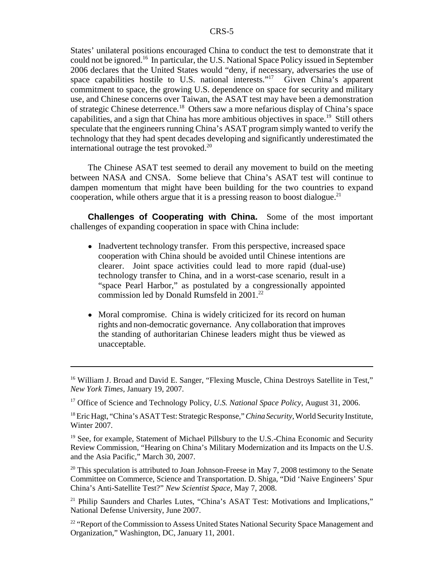States' unilateral positions encouraged China to conduct the test to demonstrate that it could not be ignored.16 In particular, the U.S. National Space Policy issued in September 2006 declares that the United States would "deny, if necessary, adversaries the use of space capabilities hostile to U.S. national interests."<sup>17</sup> Given China's apparent commitment to space, the growing U.S. dependence on space for security and military use, and Chinese concerns over Taiwan, the ASAT test may have been a demonstration of strategic Chinese deterrence.18 Others saw a more nefarious display of China's space capabilities, and a sign that China has more ambitious objectives in space.19 Still others speculate that the engineers running China's ASAT program simply wanted to verify the technology that they had spent decades developing and significantly underestimated the international outrage the test provoked.<sup>20</sup>

The Chinese ASAT test seemed to derail any movement to build on the meeting between NASA and CNSA. Some believe that China's ASAT test will continue to dampen momentum that might have been building for the two countries to expand cooperation, while others argue that it is a pressing reason to boost dialogue.<sup>21</sup>

**Challenges of Cooperating with China.** Some of the most important challenges of expanding cooperation in space with China include:

- Inadvertent technology transfer. From this perspective, increased space cooperation with China should be avoided until Chinese intentions are clearer. Joint space activities could lead to more rapid (dual-use) technology transfer to China, and in a worst-case scenario, result in a "space Pearl Harbor," as postulated by a congressionally appointed commission led by Donald Rumsfeld in 2001.<sup>22</sup>
- Moral compromise. China is widely criticized for its record on human rights and non-democratic governance. Any collaboration that improves the standing of authoritarian Chinese leaders might thus be viewed as unacceptable.

<sup>20</sup> This speculation is attributed to Joan Johnson-Freese in May 7, 2008 testimony to the Senate Committee on Commerce, Science and Transportation. D. Shiga, "Did 'Naive Engineers' Spur China's Anti-Satellite Test?" *New Scientist Space*, May 7, 2008.

<sup>&</sup>lt;sup>16</sup> William J. Broad and David E. Sanger, "Flexing Muscle, China Destroys Satellite in Test," *New York Times,* January 19, 2007.

<sup>17</sup> Office of Science and Technology Policy, *U.S. National Space Policy*, August 31, 2006.

<sup>18</sup> Eric Hagt, "China's ASAT Test: Strategic Response," *China Security*, World Security Institute, Winter 2007.

<sup>&</sup>lt;sup>19</sup> See, for example, Statement of Michael Pillsbury to the U.S.-China Economic and Security Review Commission, "Hearing on China's Military Modernization and its Impacts on the U.S. and the Asia Pacific," March 30, 2007.

<sup>&</sup>lt;sup>21</sup> Philip Saunders and Charles Lutes, "China's ASAT Test: Motivations and Implications," National Defense University, June 2007.

<sup>&</sup>lt;sup>22</sup> "Report of the Commission to Assess United States National Security Space Management and Organization," Washington, DC, January 11, 2001.